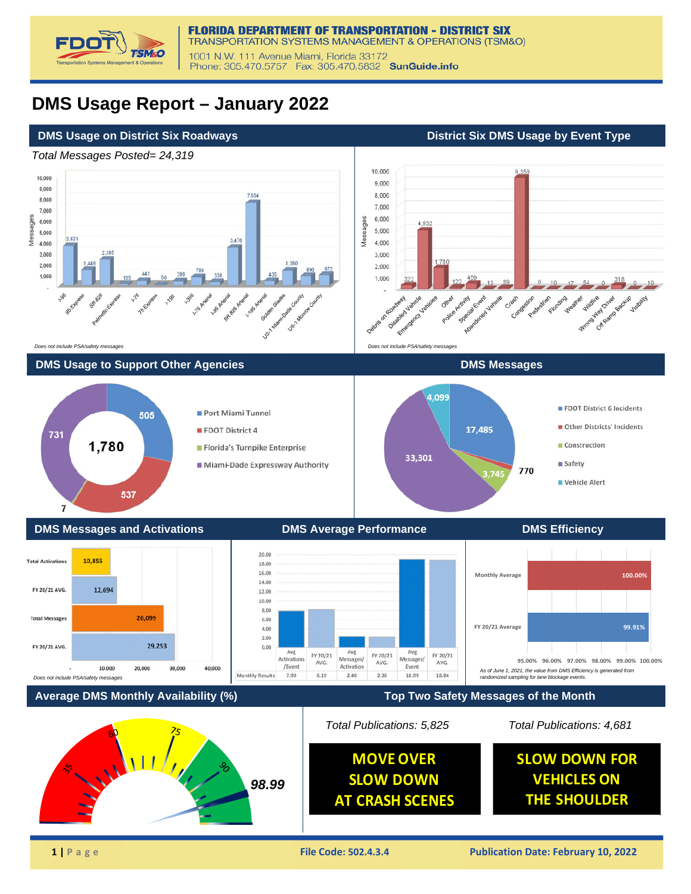

## **DMS Usage Report – January 2022**

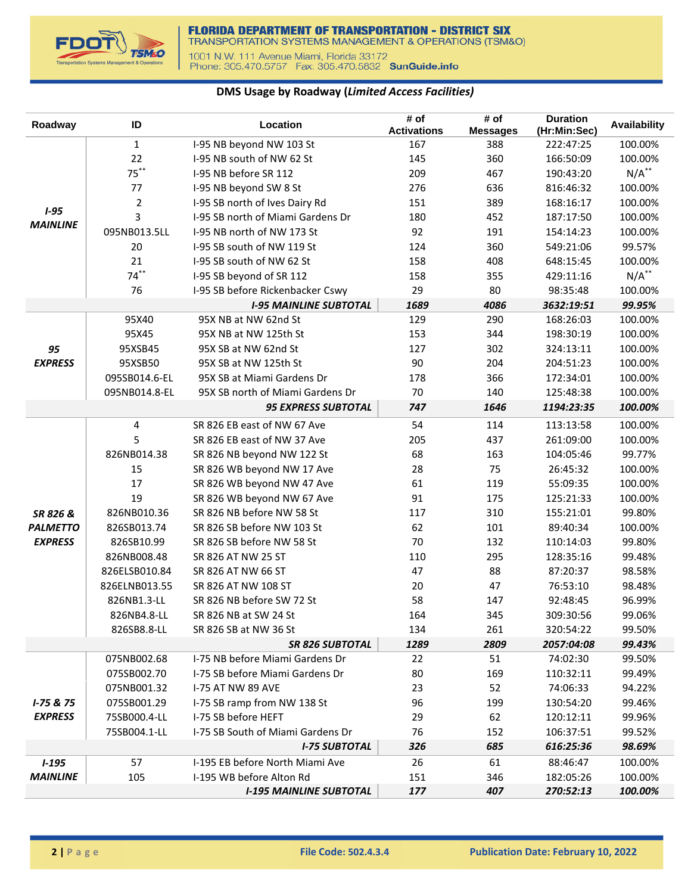

## **DMS Usage by Roadway (***Limited Access Facilities)*

| Roadway                      | ID             | Location                                                  | # of<br><b>Activations</b> | # of<br><b>Messages</b> | <b>Duration</b><br>(Hr:Min:Sec) | <b>Availability</b> |
|------------------------------|----------------|-----------------------------------------------------------|----------------------------|-------------------------|---------------------------------|---------------------|
|                              | $\mathbf{1}$   | I-95 NB beyond NW 103 St                                  | 167                        | 388                     | 222:47:25                       | 100.00%             |
|                              | 22             | I-95 NB south of NW 62 St                                 | 145                        | 360                     | 166:50:09                       | 100.00%             |
|                              | $75***$        | I-95 NB before SR 112                                     | 209                        | 467                     | 190:43:20                       | $N/A$ **            |
|                              | 77             | I-95 NB beyond SW 8 St                                    | 276                        | 636                     | 816:46:32                       | 100.00%             |
|                              | $\overline{2}$ | I-95 SB north of Ives Dairy Rd                            | 151                        | 389                     | 168:16:17                       | 100.00%             |
| $1 - 95$                     | 3              | I-95 SB north of Miami Gardens Dr                         | 180                        | 452                     | 187:17:50                       | 100.00%             |
| <b>MAINLINE</b>              | 095NB013.5LL   | I-95 NB north of NW 173 St                                | 92                         | 191                     | 154:14:23                       | 100.00%             |
|                              | 20             | I-95 SB south of NW 119 St                                | 124                        | 360                     | 549:21:06                       | 99.57%              |
|                              | 21             | I-95 SB south of NW 62 St                                 | 158                        | 408                     | 648:15:45                       | 100.00%             |
|                              | $74***$        | I-95 SB beyond of SR 112                                  | 158                        | 355                     | 429:11:16                       | $N/A$ **            |
|                              | 76             | I-95 SB before Rickenbacker Cswy                          | 29                         | 80                      | 98:35:48                        | 100.00%             |
|                              |                | <b>I-95 MAINLINE SUBTOTAL</b>                             | 1689                       | 4086                    | 3632:19:51                      | 99.95%              |
|                              | 95X40          | 95X NB at NW 62nd St                                      | 129                        | 290                     | 168:26:03                       | 100.00%             |
|                              | 95X45          | 95X NB at NW 125th St                                     | 153                        | 344                     | 198:30:19                       | 100.00%             |
| 95                           | 95XSB45        | 95X SB at NW 62nd St                                      | 127                        | 302                     | 324:13:11                       | 100.00%             |
| <b>EXPRESS</b>               | 95XSB50        | 95X SB at NW 125th St                                     | 90                         | 204                     | 204:51:23                       | 100.00%             |
|                              | 095SB014.6-EL  | 95X SB at Miami Gardens Dr                                | 178                        | 366                     | 172:34:01                       | 100.00%             |
|                              | 095NB014.8-EL  | 95X SB north of Miami Gardens Dr                          | 70                         | 140                     | 125:48:38                       | 100.00%             |
|                              |                | <b>95 EXPRESS SUBTOTAL</b>                                | 747                        | 1646                    | 1194:23:35                      | 100.00%             |
|                              | 4              | SR 826 EB east of NW 67 Ave                               | 54                         | 114                     | 113:13:58                       | 100.00%             |
|                              | 5              | SR 826 EB east of NW 37 Ave                               | 205                        | 437                     | 261:09:00                       | 100.00%             |
|                              | 826NB014.38    | SR 826 NB beyond NW 122 St                                | 68                         | 163                     | 104:05:46                       | 99.77%              |
|                              | 15             | SR 826 WB beyond NW 17 Ave                                | 28                         | 75                      | 26:45:32                        | 100.00%             |
|                              | 17             | SR 826 WB beyond NW 47 Ave                                | 61                         | 119                     | 55:09:35                        | 100.00%             |
|                              | 19             | SR 826 WB beyond NW 67 Ave                                | 91                         | 175                     | 125:21:33                       | 100.00%             |
| SR 826 &                     | 826NB010.36    | SR 826 NB before NW 58 St                                 | 117                        | 310                     | 155:21:01                       | 99.80%              |
| <b>PALMETTO</b>              | 826SB013.74    | SR 826 SB before NW 103 St                                | 62                         | 101                     | 89:40:34                        | 100.00%             |
| <b>EXPRESS</b>               | 826SB10.99     | SR 826 SB before NW 58 St                                 | 70                         | 132                     | 110:14:03                       | 99.80%              |
|                              | 826NB008.48    | SR 826 AT NW 25 ST                                        | 110                        | 295                     | 128:35:16                       | 99.48%              |
|                              | 826ELSB010.84  | SR 826 AT NW 66 ST                                        | 47                         | 88                      | 87:20:37                        | 98.58%              |
|                              | 826ELNB013.55  | SR 826 AT NW 108 ST                                       | 20                         | 47                      | 76:53:10                        | 98.48%              |
|                              | 826NB1.3-LL    | SR 826 NB before SW 72 St                                 | 58                         | 147                     | 92:48:45                        | 96.99%              |
|                              | 826NB4.8-LL    | SR 826 NB at SW 24 St                                     | 164                        | 345                     | 309:30:56                       | 99.06%              |
|                              | 826SB8.8-LL    | SR 826 SB at NW 36 St                                     | 134                        | 261                     | 320:54:22                       | 99.50%              |
|                              |                | <b>SR 826 SUBTOTAL</b>                                    | 1289                       | 2809                    | 2057:04:08                      | 99.43%              |
|                              | 075NB002.68    | I-75 NB before Miami Gardens Dr                           | 22                         | 51                      | 74:02:30                        | 99.50%              |
|                              | 075SB002.70    | I-75 SB before Miami Gardens Dr                           | 80                         | 169                     | 110:32:11                       | 99.49%              |
|                              | 075NB001.32    | <b>I-75 AT NW 89 AVE</b>                                  | 23                         | 52                      | 74:06:33                        | 94.22%              |
| $I - 75 & 75$                | 075SB001.29    | I-75 SB ramp from NW 138 St                               | 96                         | 199                     | 130:54:20                       | 99.46%              |
| <b>EXPRESS</b>               | 75SB000.4-LL   | I-75 SB before HEFT                                       | 29                         | 62                      | 120:12:11                       | 99.96%              |
|                              | 75SB004.1-LL   | I-75 SB South of Miami Gardens Dr<br><b>I-75 SUBTOTAL</b> | 76                         | 152                     | 106:37:51                       | 99.52%              |
|                              | 57             | I-195 EB before North Miami Ave                           | 326<br>26                  | 685<br>61               | 616:25:36<br>88:46:47           | 98.69%              |
| $1 - 195$<br><b>MAINLINE</b> | 105            | I-195 WB before Alton Rd                                  | 151                        | 346                     | 182:05:26                       | 100.00%<br>100.00%  |
|                              |                | <b>I-195 MAINLINE SUBTOTAL</b>                            | 177                        | 407                     | 270:52:13                       | 100.00%             |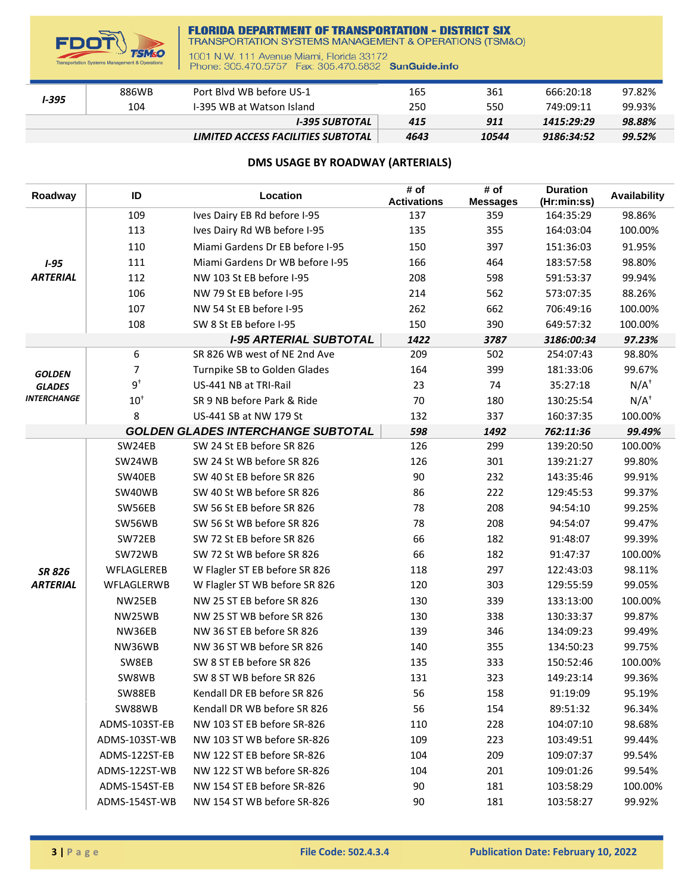

## **FLORIDA DEPARTMENT OF TRANSPORTATION - DISTRICT SIX**<br>TRANSPORTATION SYSTEMS MANAGEMENT & OPERATIONS (TSM&O)

1001 N.W. 111 Avenue Miami, Florida 33172<br>Phone: 305.470.5757 Fax: 305.470.5832 SunGuide.info

| <b>1-395</b> | 886WB | Port Blyd WB before US-1           | 165  | 361   | 666:20:18  | 97.82% |
|--------------|-------|------------------------------------|------|-------|------------|--------|
|              | 104   | I-395 WB at Watson Island          | 250  | 550   | 749:09:11  | 99.93% |
|              |       | I-395 SUBTOTAL                     | 415  | 911   | 1415:29:29 | 98.88% |
|              |       | LIMITED ACCESS FACILITIES SUBTOTAL | 4643 | 10544 | 9186:34:52 | 99.52% |

## **DMS USAGE BY ROADWAY (ARTERIALS)**

| Roadway            | ID            | Location                                  | # of<br><b>Activations</b> | # of<br><b>Messages</b> | <b>Duration</b><br>(Hr:min:ss) | <b>Availability</b> |
|--------------------|---------------|-------------------------------------------|----------------------------|-------------------------|--------------------------------|---------------------|
|                    | 109           | Ives Dairy EB Rd before I-95              | 137                        | 359                     | 164:35:29                      | 98.86%              |
|                    | 113           | Ives Dairy Rd WB before I-95              | 135                        | 355                     | 164:03:04                      | 100.00%             |
|                    | 110           | Miami Gardens Dr EB before I-95           | 150                        | 397                     | 151:36:03                      | 91.95%              |
| $1 - 95$           | 111           | Miami Gardens Dr WB before I-95           | 166                        | 464                     | 183:57:58                      | 98.80%              |
| <b>ARTERIAL</b>    | 112           | NW 103 St EB before I-95                  | 208                        | 598                     | 591:53:37                      | 99.94%              |
|                    | 106           | NW 79 St EB before I-95                   | 214                        | 562                     | 573:07:35                      | 88.26%              |
|                    | 107           | NW 54 St EB before I-95                   | 262                        | 662                     | 706:49:16                      | 100.00%             |
|                    | 108           | SW 8 St EB before I-95                    | 150                        | 390                     | 649:57:32                      | 100.00%             |
|                    |               | <b>I-95 ARTERIAL SUBTOTAL</b>             | 1422                       | 3787                    | 3186:00:34                     | 97.23%              |
|                    | 6             | SR 826 WB west of NE 2nd Ave              | 209                        | 502                     | 254:07:43                      | 98.80%              |
| <b>GOLDEN</b>      | 7             | Turnpike SB to Golden Glades              | 164                        | 399                     | 181:33:06                      | 99.67%              |
| <b>GLADES</b>      | $9^{\dagger}$ | US-441 NB at TRI-Rail                     | 23                         | 74                      | 35:27:18                       | $N/A^+$             |
| <b>INTERCHANGE</b> | $10^+$        | SR 9 NB before Park & Ride                | 70                         | 180                     | 130:25:54                      | $N/A^{\dagger}$     |
|                    | 8             | US-441 SB at NW 179 St                    | 132                        | 337                     | 160:37:35                      | 100.00%             |
|                    |               | <b>GOLDEN GLADES INTERCHANGE SUBTOTAL</b> | 598                        | 1492                    | 762:11:36                      | 99.49%              |
|                    | SW24EB        | SW 24 St EB before SR 826                 | 126                        | 299                     | 139:20:50                      | 100.00%             |
|                    | SW24WB        | SW 24 St WB before SR 826                 | 126                        | 301                     | 139:21:27                      | 99.80%              |
|                    | SW40EB        | SW 40 St EB before SR 826                 | 90                         | 232                     | 143:35:46                      | 99.91%              |
|                    | SW40WB        | SW 40 St WB before SR 826                 | 86                         | 222                     | 129:45:53                      | 99.37%              |
|                    | SW56EB        | SW 56 St EB before SR 826                 | 78                         | 208                     | 94:54:10                       | 99.25%              |
|                    | SW56WB        | SW 56 St WB before SR 826                 | 78                         | 208                     | 94:54:07                       | 99.47%              |
|                    | SW72EB        | SW 72 St EB before SR 826                 | 66                         | 182                     | 91:48:07                       | 99.39%              |
|                    | SW72WB        | SW 72 St WB before SR 826                 | 66                         | 182                     | 91:47:37                       | 100.00%             |
| <b>SR 826</b>      | WFLAGLEREB    | W Flagler ST EB before SR 826             | 118                        | 297                     | 122:43:03                      | 98.11%              |
| <b>ARTERIAL</b>    | WFLAGLERWB    | W Flagler ST WB before SR 826             | 120                        | 303                     | 129:55:59                      | 99.05%              |
|                    | NW25EB        | NW 25 ST EB before SR 826                 | 130                        | 339                     | 133:13:00                      | 100.00%             |
|                    | NW25WB        | NW 25 ST WB before SR 826                 | 130                        | 338                     | 130:33:37                      | 99.87%              |
|                    | NW36EB        | NW 36 ST EB before SR 826                 | 139                        | 346                     | 134:09:23                      | 99.49%              |
|                    | NW36WB        | NW 36 ST WB before SR 826                 | 140                        | 355                     | 134:50:23                      | 99.75%              |
|                    | SW8EB         | SW 8 ST EB before SR 826                  | 135                        | 333                     | 150:52:46                      | 100.00%             |
|                    | SW8WB         | SW 8 ST WB before SR 826                  | 131                        | 323                     | 149:23:14                      | 99.36%              |
|                    | SW88EB        | Kendall DR EB before SR 826               | 56                         | 158                     | 91:19:09                       | 95.19%              |
|                    | SW88WB        | Kendall DR WB before SR 826               | 56                         | 154                     | 89:51:32                       | 96.34%              |
|                    | ADMS-103ST-EB | NW 103 ST EB before SR-826                | 110                        | 228                     | 104:07:10                      | 98.68%              |
|                    | ADMS-103ST-WB | NW 103 ST WB before SR-826                | 109                        | 223                     | 103:49:51                      | 99.44%              |
|                    | ADMS-122ST-EB | NW 122 ST EB before SR-826                | 104                        | 209                     | 109:07:37                      | 99.54%              |
|                    | ADMS-122ST-WB | NW 122 ST WB before SR-826                | 104                        | 201                     | 109:01:26                      | 99.54%              |
|                    | ADMS-154ST-EB | NW 154 ST EB before SR-826                | 90                         | 181                     | 103:58:29                      | 100.00%             |
|                    | ADMS-154ST-WB | NW 154 ST WB before SR-826                | 90                         | 181                     | 103:58:27                      | 99.92%              |